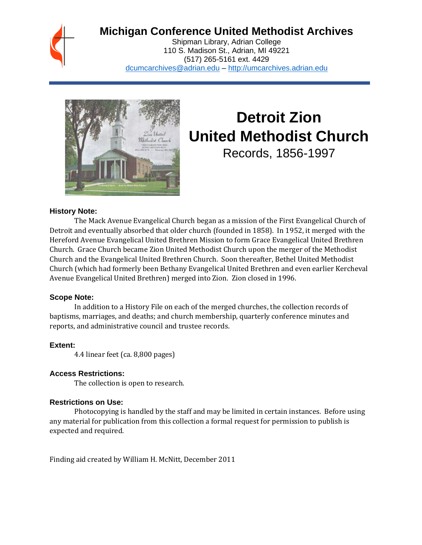## **Michigan Conference United Methodist Archives**

Shipman Library, Adrian College 110 S. Madison St., Adrian, MI 49221 (517) 265-5161 ext. 4429 [dcumcarchives@adrian.edu](mailto:dcumcarchives@adrian.edu) – [http://umcarchives.adrian.edu](http://umcarchives.adrian.edu/)



# **Detroit Zion United Methodist Church**

Records, 1856-1997

#### **History Note:**

The Mack Avenue Evangelical Church began as a mission of the First Evangelical Church of Detroit and eventually absorbed that older church (founded in 1858). In 1952, it merged with the Hereford Avenue Evangelical United Brethren Mission to form Grace Evangelical United Brethren Church. Grace Church became Zion United Methodist Church upon the merger of the Methodist Church and the Evangelical United Brethren Church. Soon thereafter, Bethel United Methodist Church (which had formerly been Bethany Evangelical United Brethren and even earlier Kercheval Avenue Evangelical United Brethren) merged into Zion. Zion closed in 1996.

#### **Scope Note:**

In addition to a History File on each of the merged churches, the collection records of baptisms, marriages, and deaths; and church membership, quarterly conference minutes and reports, and administrative council and trustee records.

#### **Extent:**

4.4 linear feet (ca. 8,800 pages)

#### **Access Restrictions:**

The collection is open to research.

#### **Restrictions on Use:**

Photocopying is handled by the staff and may be limited in certain instances. Before using any material for publication from this collection a formal request for permission to publish is expected and required.

Finding aid created by William H. McNitt, December 2011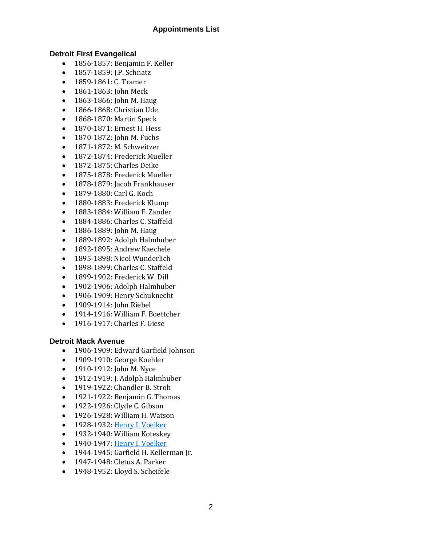#### **Appointments List**

#### **Detroit First Evangelical**

- 1856-1857: Benjamin F. Keller
- 1857-1859: J.P. Schnatz
- 1859-1861: C. Tramer
- 1861-1863: John Meck
- 1863-1866: John M. Haug
- 1866-1868: Christian Ude
- 1868-1870: Martin Speck
- 1870-1871: Ernest H. Hess
- 1870-1872: John M. Fuchs
- 1871-1872: M. Schweitzer
- 1872-1874: Frederick Mueller
- 1872-1875: Charles Deike
- 1875-1878: Frederick Mueller
- 1878-1879: Jacob Frankhauser
- 1879-1880: Carl G. Koch
- 1880-1883: Frederick Klump
- 1883-1884: William F. Zander
- 1884-1886: Charles C. Staffeld
- 1886-1889: John M. Haug
- 1889-1892: Adolph Halmhuber
- 1892-1895: Andrew Kaechele
- 1895-1898: Nicol Wunderlich
- 1898-1899: Charles C. Staffeld
- 1899-1902: Frederick W. Dill
- 1902-1906: Adolph Halmhuber
- 1906-1909: Henry Schuknecht
- 1909-1914: John Riebel
- 1914-1916: William F. Boettcher
- 1916-1917: Charles F. Giese

#### **Detroit Mack Avenue**

- 1906-1909: Edward Garfield Johnson
- 1909-1910: George Koehler
- 1910-1912: John M. Nyce
- 1912-1919: J. Adolph Halmhuber
- 1919-1922: Chandler B. Stroh
- 1921-1922: Benjamin G. Thomas
- 1922-1926: Clyde C. Gibson
- 1926-1928: William H. Watson
- 1928-1932[: Henry I. Voelker](http://umcarchives.adrian.edu/clergy/voelkerhi.php)
- 1932-1940: William Koteskey
- 1940-1947[: Henry I. Voelker](http://umcarchives.adrian.edu/clergy/voelkerhi.php)
- 1944-1945: Garfield H. Kellerman Jr.
- 1947-1948: Cletus A. Parker
- 1948-1952: Lloyd S. Scheifele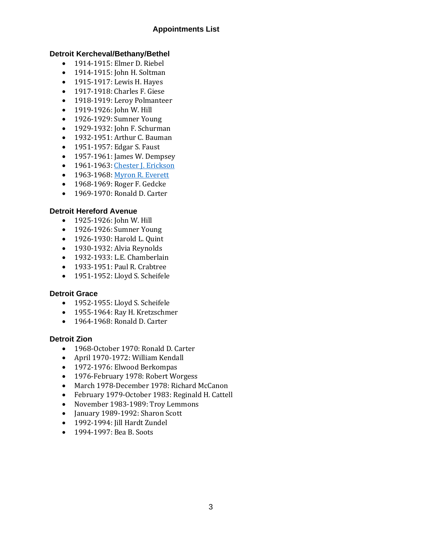#### **Appointments List**

#### **Detroit Kercheval/Bethany/Bethel**

- 1914-1915: Elmer D. Riebel
- 1914-1915: John H. Soltman
- 1915-1917: Lewis H. Hayes
- 1917-1918: Charles F. Giese
- 1918-1919: Leroy Polmanteer
- 1919-1926: John W. Hill
- 1926-1929: Sumner Young
- 1929-1932: John F. Schurman
- 1932-1951: Arthur C. Bauman
- 1951-1957: Edgar S. Faust
- 1957-1961: James W. Dempsey
- 1961-1963[: Chester J. Erickson](http://umcarchives.adrian.edu/clergy/ericksoncj.php)
- 1963-1968[: Myron R. Everett](http://umcarchives.adrian.edu/clergy/ericksoncj.php)
- 1968-1969: Roger F. Gedcke
- 1969-1970: Ronald D. Carter

#### **Detroit Hereford Avenue**

- 1925-1926: John W. Hill
- 1926-1926: Sumner Young
- 1926-1930: Harold L. Quint
- 1930-1932: Alvia Reynolds
- 1932-1933: L.E. Chamberlain
- 1933-1951: Paul R. Crabtree
- 1951-1952: Lloyd S. Scheifele

#### **Detroit Grace**

- 1952-1955: Lloyd S. Scheifele
- 1955-1964: Ray H. Kretzschmer
- 1964-1968: Ronald D. Carter

#### **Detroit Zion**

- 1968-October 1970: Ronald D. Carter
- April 1970-1972: William Kendall
- 1972-1976: Elwood Berkompas
- 1976-February 1978: Robert Worgess
- March 1978-December 1978: Richard McCanon
- February 1979-October 1983: Reginald H. Cattell
- November 1983-1989: Troy Lemmons
- January 1989-1992: Sharon Scott
- 1992-1994: Jill Hardt Zundel
- 1994-1997: Bea B. Soots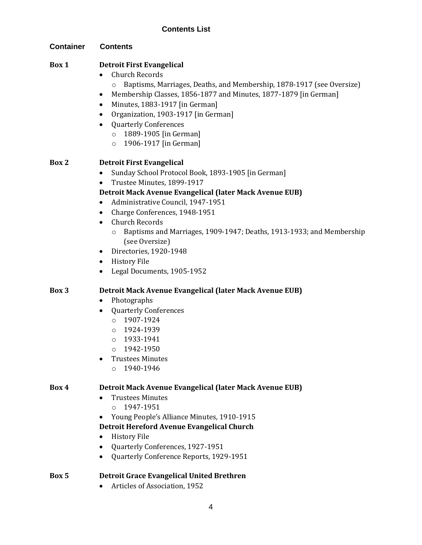#### **Contents List**

| <b>Container</b> | <b>Contents</b>                                                                                                                                                                                                                                                                                                                                                                                                                                                                                                                               |
|------------------|-----------------------------------------------------------------------------------------------------------------------------------------------------------------------------------------------------------------------------------------------------------------------------------------------------------------------------------------------------------------------------------------------------------------------------------------------------------------------------------------------------------------------------------------------|
| Box 1            | <b>Detroit First Evangelical</b><br><b>Church Records</b><br>Baptisms, Marriages, Deaths, and Membership, 1878-1917 (see Oversize)<br>$\circ$<br>Membership Classes, 1856-1877 and Minutes, 1877-1879 [in German]<br>٠<br>Minutes, 1883-1917 [in German]<br>٠<br>Organization, 1903-1917 [in German]<br>٠<br><b>Quarterly Conferences</b><br>$\circ$ 1889-1905 [in German]<br>1906-1917 [in German]<br>$\circ$                                                                                                                                |
| Box 2            | <b>Detroit First Evangelical</b><br>Sunday School Protocol Book, 1893-1905 [in German]<br>٠<br>Trustee Minutes, 1899-1917<br>Detroit Mack Avenue Evangelical (later Mack Avenue EUB)<br>Administrative Council, 1947-1951<br>٠<br>Charge Conferences, 1948-1951<br>$\bullet$<br><b>Church Records</b><br>$\bullet$<br>Baptisms and Marriages, 1909-1947; Deaths, 1913-1933; and Membership<br>$\circ$<br>(see Oversize)<br>Directories, 1920-1948<br>$\bullet$<br><b>History File</b><br>$\bullet$<br>Legal Documents, 1905-1952<br>$\bullet$ |
| Box 3            | Detroit Mack Avenue Evangelical (later Mack Avenue EUB)<br>Photographs<br>$\bullet$<br><b>Quarterly Conferences</b><br>$0 1907 - 1924$<br>1924-1939<br>$\circ$<br>1933-1941<br>$\circ$<br>1942-1950<br>$\Omega$<br><b>Trustees Minutes</b><br>1940-1946<br>$\Omega$                                                                                                                                                                                                                                                                           |
| Box 4            | Detroit Mack Avenue Evangelical (later Mack Avenue EUB)<br><b>Trustees Minutes</b><br>1947-1951<br>$\Omega$<br>Young People's Alliance Minutes, 1910-1915<br>Detroit Hereford Avenue Evangelical Church<br><b>History File</b><br>٠<br>Quarterly Conferences, 1927-1951<br>Quarterly Conference Reports, 1929-1951<br>$\bullet$                                                                                                                                                                                                               |

### **Box 5 Detroit Grace Evangelical United Brethren**

• Articles of Association, 1952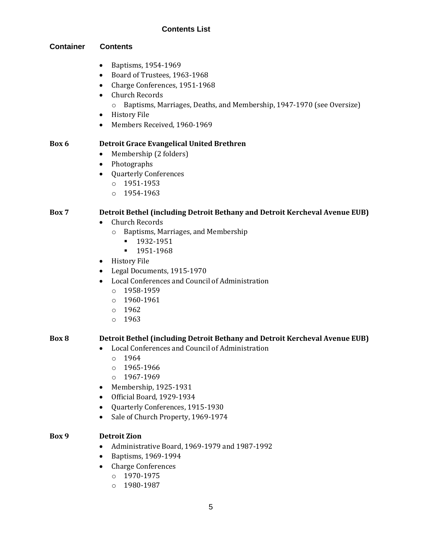#### **Contents List**

#### **Container Contents**

- Baptisms, 1954-1969
- Board of Trustees, 1963-1968
- Charge Conferences, 1951-1968
- Church Records
	- o Baptisms, Marriages, Deaths, and Membership, 1947-1970 (see Oversize)
- History File
- Members Received, 1960-1969

#### **Box 6 Detroit Grace Evangelical United Brethren**

- Membership (2 folders)
- Photographs
- Quarterly Conferences
	- o 1951-1953
	- o 1954-1963

#### **Box 7 Detroit Bethel (including Detroit Bethany and Detroit Kercheval Avenue EUB)**

- Church Records
	- o Baptisms, Marriages, and Membership
		- 1932-1951
		- 1951-1968
- History File
- Legal Documents, 1915-1970
- Local Conferences and Council of Administration
	- o 1958-1959
	- $0.1960 1961$
	- o 1962
	- o 1963

#### **Box 8 Detroit Bethel (including Detroit Bethany and Detroit Kercheval Avenue EUB)**

- Local Conferences and Council of Administration
	- $0.1964$
	- o 1965-1966
	- o 1967-1969
- Membership, 1925-1931
- Official Board, 1929-1934
- Quarterly Conferences, 1915-1930
- Sale of Church Property, 1969-1974

#### **Box 9 Detroit Zion**

- Administrative Board, 1969-1979 and 1987-1992
- Baptisms, 1969-1994
- Charge Conferences
	- o 1970-1975
	- o 1980-1987